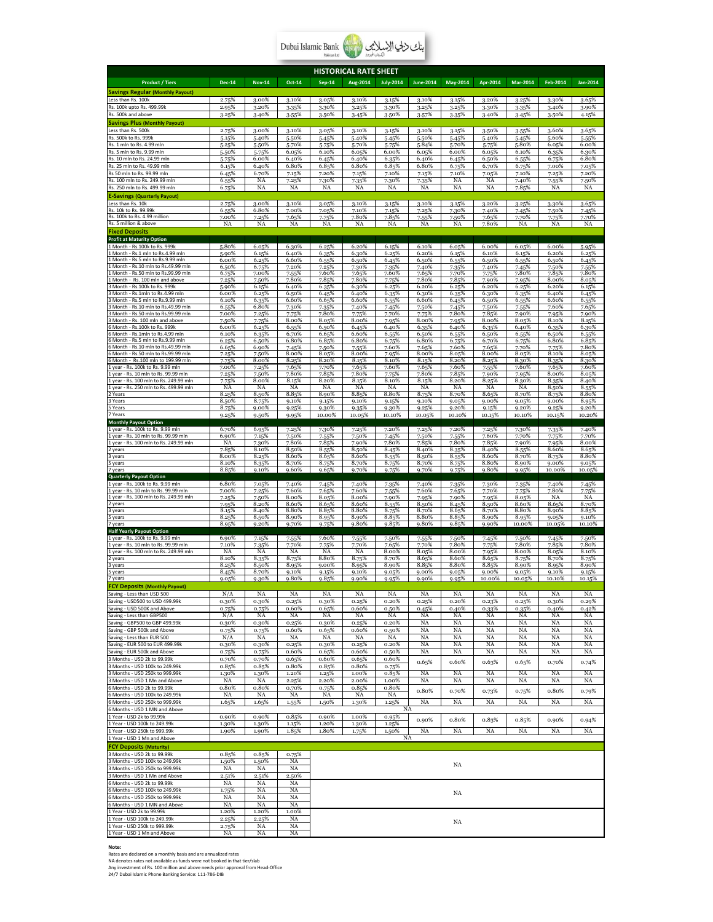| Pakistan Ltd. |  | Dubai Islamic Bank<br>Belistere |
|---------------|--|---------------------------------|
|---------------|--|---------------------------------|

| <b>HISTORICAL RATE SHEET</b>                                                 |                |                |                |                |                |                  |                  |                 |                 |                 |                 |                 |
|------------------------------------------------------------------------------|----------------|----------------|----------------|----------------|----------------|------------------|------------------|-----------------|-----------------|-----------------|-----------------|-----------------|
| <b>Product / Tiers</b>                                                       | <b>Dec-14</b>  | <b>Nov-14</b>  | Oct-14         | <b>Sep-14</b>  | Aug-2014       | <b>July-2014</b> | <b>June-2014</b> | <b>May-2014</b> | Apr-2014        | <b>Mar-2014</b> | Feb-2014        | Jan-2014        |
| <b>Savings Regular (Monthly Payout)</b>                                      |                |                |                |                |                |                  |                  |                 |                 |                 |                 |                 |
| Less than Rs. 100k                                                           | 2.75%          | 3.00%          | 3.10%          | 3.05%          | 3.10%          | 3.15%            | 3.10%            | 3.15%           | 3.20%           | 3.25%           | 3.30%           | 3.65%           |
| Rs. 100k upto Rs. 499.99k<br>Rs. 500k and above                              | 2.95%<br>3.25% | 3.20%<br>3.40% | 3.35%<br>3.55% | 3.30%<br>3.50% | 3.25%<br>3.45% | 3.30%<br>3.50%   | 3.25%<br>3.57%   | 3.25%<br>3.35%  | 3.30%<br>3.40%  | 3.35%<br>3.45%  | 3.40%<br>3.50%  | 3.90%<br>4.15%  |
| <b>Savings Plus (Monthly Payout)</b>                                         |                |                |                |                |                |                  |                  |                 |                 |                 |                 |                 |
| Less than Rs. 500k                                                           | 2.75%          | 3.00%          | 3.10%          | 3.05%          | 3.10%          | 3.15%            | 3.10%            | 3.15%           | 3.50%           | 3.55%           | 3.60%           | 3.65%           |
| Rs. 500k to Rs. 999k<br>Rs. 1 mln to Rs. 4.99 mln                            | 5.15%<br>5.25% | 5.40%<br>5.50% | 5.50%<br>5.70% | 5.45%<br>5.75% | 5.40%<br>5.70% | 5.45%<br>5.75%   | 5.50%<br>5.84%   | 5.45%<br>5.70%  | 5.40%<br>5.75%  | 5.45%<br>5.80%  | 5.60%<br>6.05%  | 5.55%<br>6.00%  |
| Rs. 5 mln to Rs. 9.99 mln                                                    | 5.50%          | 5.75%          | 6.05%          | 6.10%          | 6.05%          | 6.00%            | 6.05%            | 6.00%           | 6.05%           | 6.10%           | 6.35%           | 6.30%           |
| Rs. 10 mln to Rs. 24.99 mln<br>Rs. 25 mln to Rs. 49.99 mln                   | 5.75%          | 6.00%<br>6.40% | 6.40%<br>6.80% | 6.45%          | 6.40%<br>6.80% | 6.35%            | 6.40%<br>6.80%   | 6.45%           | 6.50%           | 6.55%           | 6.75%           | 6.80%           |
| Rs 50 mln to Rs. 99.99 mln                                                   | 6.15%<br>6.45% | 6.70%          | 7.15%          | 6.85%<br>7.20% | 7.15%          | 6.85%<br>7.10%   | 7.15%            | 6.75%<br>7.10%  | 6.70%<br>7.05%  | 6.75%<br>7.10%  | 7.00%<br>7.25%  | 7.05%<br>7.20%  |
| Rs. 100 mln to Rs. 249.99 mln                                                | 6.55%          | NA             | 7.25%          | 7.30%          | 7.35%          | 7.30%            | 7.35%            | NA              | NA              | 7.40%           | 7.55%           | 7.50%           |
| Rs. 250 mln to Rs. 499.99 mln                                                | 6.75%          | NA             | NA             | NA             | NA             | NA               | NA               | NA              | NA              | 7.85%           | NA              | NA              |
| <b>E-Savings (Quarterly Payout)</b><br>ı<br>ess than Rs. 10k                 | 2.75%          | 3.00%          | 3.10%          | 3.05%          | 3.10%          | 3.15%            | 3.10%            | 3.15%           | 3.20%           | 3.25%           | $3.30\%$        | 3.65%           |
| Rs. 10k to Rs. 99.99k                                                        | 6.55%          | 6.80%          | 7.00%          | 7.05%          | 7.10%          | 7.15%            | 7.25%            | 7.30%           | 7.40%           | 7.45%           | 7.50%           | 7.45%           |
| Rs. 100k to Rs. 4.99 million<br>Rs. 5 million & above                        | 7.00%<br>NA    | 7.25%<br>NA    | 7.65%<br>NA    | 7.75%<br>NA    | 7.80%<br>NA    | 7.85%<br>NA      | 7.55%<br>NA      | 7.50%<br>NA     | 7.65%<br>7.80%  | 7.70%<br>NA     | 7.75%<br>NA     | 7.70%<br>NA     |
| <b>Fixed Deposits</b>                                                        |                |                |                |                |                |                  |                  |                 |                 |                 |                 |                 |
| <b>Profit at Maturity Option</b>                                             |                |                |                |                |                |                  |                  |                 |                 |                 |                 |                 |
| 1 Month - Rs.100k to Rs. 999k<br>Month - Rs.1 mln to Rs.4.99 mln             | 5.80%<br>5.90% | 6.05%<br>6.15% | 6.30%<br>6.40% | 6.25%<br>6.35% | 6.20%<br>6.30% | 6.15%<br>6.25%   | 6.10%<br>6.20%   | 6.05%<br>6.15%  | 6.00%<br>6.10%  | 6.05%<br>6.15%  | 6.00%<br>6.20%  | 5.95%<br>6.25%  |
| Month - Rs.5 mln to Rs.9.99 mln                                              | 6.00%          | 6.25%          | 6.60%          | 6.55%          | 6.50%          | 6.45%            | 6.50%            | 6.55%           | 6.50%           | 6.55%           | 6.50%           | 6.45%           |
| Month - Rs.10 mln to Rs.49.99 mln<br>Month - Rs.50 mln to Rs.99.99 mln       | 6.50%<br>6.75% | 6.75%<br>7.00% | 7.20%<br>7.55% | 7.25%<br>7.60% | 7.30%<br>7.65% | 7.35%<br>7.60%   | 7.40%<br>7.65%   | 7.35%<br>7.70%  | 7.40%<br>7.75%  | 7.45%<br>7.80%  | 7.50%<br>7.85%  | 7.55%<br>7.80%  |
| Month<br>Rs. 100 mln and above                                               | 7.25%          | 7.50%          | 7.80%          | 7.85%          | 7.80%          | 7.75%            | 7.80%            | 7.85%           | 7.90%           | 7.95%           | 8.00%           | 8.05%           |
| Month - Rs.100k to Rs. 999k<br>Month - Rs.1mln to Rs.4.99 mln                | 5.90%<br>6.00% | 6.15%<br>6.25% | 6.40%<br>6.50% | 6.35%<br>6.45% | 6.30%<br>6.40% | 6.25%<br>6.35%   | 6.20%<br>6.30%   | 6.25%<br>6.35%  | 6.20%<br>6.30%  | 6.25%<br>6.35%  | 6.20%<br>6.40%  | 6.15%<br>6.45%  |
| Month - Rs.5 mln to Rs.9.99 mln                                              | 6.10%          | 6.35%          | 6.60%          | 6.65%          | 6.60%          | 6.55%            | 6.60%            | 6.45%           | 6.50%           | 6.55%           | 6.60%           | 6.55%           |
| Month - Rs.10 mln to Rs.49.99 mln<br>Month - Rs.50 mln to Rs.99.99 mln       | 6.55%<br>7.00% | 6.80%<br>7.25% | 7.30%<br>7.75% | 7.35%<br>7.80% | 7.40%<br>7.75% | 7.45%<br>7.70%   | 7.50%<br>7.75%   | 7.45%<br>7.80%  | 7.50%<br>7.85%  | 7.55%<br>7.90%  | 7.60%<br>7.95%  | 7.65%<br>7.90%  |
| Month - Rs. 100 mln and above                                                | 7.50%          | 7.75%          | 8.00%          | 8.05%          | 8.00%          | 7.95%            | 8.00%            | 7.95%           | 8.00%           | 8.05%           | 8.10%           | 8.15%           |
| 6 Month - Rs.100k to Rs. 999k<br>Month - Rs.1mln to Rs.4.99 mln              | 6.00%<br>6.10% | 6.25%<br>6.35% | 6.55%<br>6.70% | 6.50%<br>6.65% | 6.45%<br>6.60% | 6.40%<br>6.55%   | 6.35%<br>6.50%   | 6.40%<br>6.55%  | 6.35%<br>6.50%  | 6.40%<br>6.55%  | 6.35%<br>6.50%  | 6.30%<br>6.55%  |
| Month - Rs.5 mln to Rs.9.99 mln                                              | 6.25%          | 6.50%          | 6.80%          | 6.85%          | 6.80%          | 6.75%            | 6.80%            | 6.75%           | 6.70%           | 6.75%           | 6.80%           | 6.85%           |
| Month - Rs.10 mln to Rs.49.99 mln<br>Month - Rs.50 mln to Rs.99.99 mln       | 6.65%<br>7.25% | 6.90%<br>7.50% | 7.45%<br>8.00% | 7.50%<br>8.05% | 7.55%<br>8.00% | 7.60%            | 7.65%<br>8.00%   | 7.60%<br>8.05%  | 7.65%<br>8.00%  | 7.70%<br>8.05%  | 7.75%<br>8.10%  | 7.80%<br>8.05%  |
| Month - Rs.100 mln to 199.99 mln                                             | 7.75%          | 8.00%          | 8.25%          | 8.20%          | 8.15%          | 7.95%<br>8.10%   | 8.15%            | 8.20%           | 8.25%           | 8.30%           | 8.35%           | 8.30%           |
| 1 year - Rs. 100k to Rs. 9.99 mln                                            | 7.00%          | 7.25%          | 7.65%          | 7.70%          | 7.65%          | 7.60%            | 7.65%            | 7.60%           | 7.55%           | 7.60%           | 7.65%           | 7.60%           |
| year - Rs. 10 mln to Rs. 99.99 mln<br>year - Rs. 100 mln to Rs. 249.99 mln   | 7.25%<br>7.75% | 7.50%<br>8.00% | 7.80%<br>8.15% | 7.85%<br>8.20% | 7.80%<br>8.15% | 7.75%<br>8.10%   | 7.80%<br>8.15%   | 7.85%<br>8.20%  | 7.90%<br>8.25%  | 7.95%<br>8.30%  | 8.00%<br>8.35%  | 8.05%<br>8.40%  |
| 1 year - Rs. 250 mln to Rs. 499.99 mln                                       | NA             | NA             | NA             | NA             | NA             | <b>NA</b>        | NA               | NA              | NA              | NA              | 8.50%           | 8.55%           |
| Years<br>3 Years                                                             | 8.25%<br>8.50% | 8.50%<br>8.75% | 8.85%<br>9.10% | 8.90%<br>9.15% | 8.85%<br>9.10% | 8.80%<br>9.15%   | 8.75%<br>9.10%   | 8.70%<br>9.05%  | 8.65%<br>9.00%  | 8.70%<br>9.05%  | 8.75%<br>9.00%  | 8.80%<br>8.95%  |
| Years                                                                        | 8.75%          | 9.00%          | 9.25%          | 9.30%          | 9.35%          | 9.30%            | 9.25%            | 9.20%           | 9.15%           | 9.20%           | 9.25%           | 9.20%           |
| 7 Years<br><b>Monthly Payout Option</b>                                      | 9.25%          | 9.50%          | 9.95%          | 10.00%         | 10.05%         | 10.10%           | 10.05%           | 10.10%          | 10.15%          | 10.10%          | 10.15%          | 10.20%          |
| 1 year - Rs. 100k to Rs. 9.99 mln                                            | 6.70%          | 6.95%          | 7.25%          | 7.30%          | 7.25%          | 7.20%            | 7.25%            | 7.20%           | 7.25%           | 7.30%           | 7.35%           | 7.40%           |
| year - Rs. 10 mln to Rs. 99.99 mln<br>year - Rs. 100 mln to Rs. 249.99 mln   | 6.90%<br>NA    | 7.15%          | 7.50%<br>7.80% | 7.55%<br>7.85% | 7.50%          | 7.45%<br>7.80%   | 7.50%<br>7.85%   | 7.55%           | 7.60%           | 7.70%           | 7.75%           | 7.70%<br>8.00%  |
| 2 years                                                                      | 7.85%          | 7.30%<br>8.10% | 8.50%          | 8.55%          | 7.90%<br>8.50% | 8.45%            | 8.40%            | 7.80%<br>8.35%  | 7.85%<br>8.40%  | 7.90%<br>8.55%  | 7.95%<br>8.60%  | 8.65%           |
| 3 years                                                                      | 8.00%          | 8.25%          | 8.60%          | 8.65%          | 8.60%          | 8.55%            | 8.50%            | 8.55%           | 8.60%           | 8.70%           | 8.75%           | 8.80%           |
| 5 years<br>7 years                                                           | 8.10%<br>8.85% | 8.35%<br>9.10% | 8.70%<br>9.60% | 8.75%<br>9.65% | 8.70%<br>9.70% | 8.75%<br>9.75%   | 8.70%<br>9.70%   | 8.75%<br>9.75%  | 8.80%<br>9.80%  | 8.90%<br>9.95%  | 9.00%<br>10.00% | 9.05%<br>10.05% |
| <b>Quarterly Payout Option</b>                                               |                |                |                |                |                |                  |                  |                 |                 |                 |                 |                 |
| 1 year - Rs. 100k to Rs. 9.99 mln<br>1 year - Rs. 10 mln to Rs. 99.99 mln    | 6.80%<br>7.00% | 7.05%<br>7.25% | 7.40%<br>7.60% | 7.45%<br>7.65% | 7.40%<br>7.60% | 7.35%<br>7.55%   | 7.40%<br>7.60%   | 7.35%<br>7.65%  | 7.30%<br>7.70%  | 7.35%<br>7.75%  | 7.40%<br>7.80%  | 7.45%<br>7.75%  |
| year - Rs. 100 mln to Rs. 249.99 mln                                         | 7.25%          | 7.50%          | 8.00%          | 8.05%          | 8.00%          | 7.90%            | 7.95%            | 7.90%           | 7.95%           | 8.05%           | NA              | NA              |
| years<br>3 years                                                             | 7.95%<br>8.15% | 8.20%<br>8.40% | 8.60%<br>8.80% | 8.65%<br>8.85% | 8.60%<br>8.80% | 8.55%<br>8.75%   | 8.50%<br>8.70%   | 8.45%<br>8.65%  | 8.50%<br>8.70%  | 8.60%<br>8.80%  | 8.65%<br>8.90%  | 8.70%<br>8.85%  |
| years                                                                        | 8.25%          | 8.50%          | 8.90%          | 8.95%          | 8.90%          | 8.85%            | 8.80%            | 8.85%           | 8.90%           | 8.95%           | 9.05%           | 9.10%           |
| 7 years<br><b>Half Yearly Payout Option</b>                                  | 8.95%          | 9.20%          | 9.70%          | 9.75%          | 9.80%          | 9.85%            | 9.80%            | 9.85%           | 9.90%           | 10.00%          | 10.05%          | 10.10%          |
| year - Rs. 100k to Rs. 9.99 mln                                              | 6.90%          | 7.15%          | 7.55%          | 7.60%          | 7.55%          | 7.50%            | 7.55%            | 7.50%           | 7.45%           | 7.50%           | 7.45%           | 7.50%           |
| year - Rs. 10 mln to Rs. 99.99 mln<br>1 year - Rs. 100 mln to Rs. 249.99 mln | 7.10%<br>NA    | 7.35%<br>NA    | 7.70%<br>NA    | 7.75%<br>NA    | 7.70%<br>NA    | 7.65%<br>8.00%   | 7.70%            | 7.80%<br>8.00%  | 7.75%           | 7.80%<br>8.00%  | 7.85%           | 7.80%<br>8.10%  |
| vears                                                                        | 8.10%          | 8.35%          | 8.75%          | 8.80%          | 8.75%          | 8.70%            | 8.05%<br>8.65%   | 8.60%           | 7.95%<br>8.65%  | 8.75%           | 8.05%<br>8.70%  | 8.75%           |
| 3 years                                                                      | 8.25%          | 8.50%          | 8.95%          | 9.00%          | 8.95%          | 8.90%            | 8.85%            | 8.80%           | 8.85%           | 8.90%           | 8.95%           | 8.90%           |
| 5 years<br>7 years                                                           | 8.45%<br>9.05% | 8.70%<br>9.30% | 9.10%<br>9.80% | 9.15%<br>9.85% | 9.10%<br>9.90% | 9.05%<br>9.95%   | 9.00%<br>9.90%   | 9.05%<br>9.95%  | 9.00%<br>10.00% | 9.05%<br>10.05% | 9.10%<br>10.10% | 9.15%<br>10.15% |
| h<br><b>CY Deposits (Monthly Pavout)</b>                                     |                |                |                |                |                |                  |                  |                 |                 |                 |                 |                 |
| Saving - Less than USD 500<br>Saving - USD500 to USD 499.99k                 | N/A            | NA             | NA             | NA             | NA             | NA<br>0.20%      | NA               | NA<br>0.20%     | NA              | NA              | NA<br>0.30%     | NA<br>0.29%     |
| aving - USD 500K and Above                                                   | 0.30%<br>0.75% | 0.30%<br>0.75% | 0.25%<br>0.60% | 0.30%<br>0.65% | 0.25%<br>0.60% | 0.50%            | 0.25%<br>0.45%   | 0.40%           | 0.23%<br>0.33%  | 0.25%<br>0.35%  | 0.40%           | 0.42%           |
| Saving - Less than GBP500                                                    | N/A            | NA             | NA             | NA             | NA             | NA               | NA               | NA              | NA              | NA              | NA              | NA              |
| aving - GBP500 to GBP 499.99k<br>Saving - GBP 500k and Above                 | 0.30%<br>0.75% | 0.30%<br>0.75% | 0.25%<br>0.60% | 0.30%<br>0.65% | 0.25%<br>0.60% | 0.20%<br>0.50%   | NA<br>NA         | NA<br>NA        | NA<br>NA        | NA<br>NA        | NA<br>NA        | NA<br>NA        |
| saving - Less than EUR 500                                                   | N/A            | NA             | NA             | NA             | NA             | NA               | NA               | NA              | NA              | NA              | NA              | NA              |
| Saving - EUR 500 to EUR 499.99k                                              | 0.30%          | 0.30%          | 0.25%          | 0.30%          | 0.25%          | 0.20%            | NA               | NA              | NA              | NA              | NA              | NA              |
| aving - EUR 500k and Above<br>3 Months - USD 2k to 99.99k                    | 0.75%<br>0.70% | 0.75%<br>0.70% | 0.60%<br>0.65% | 0.65%<br>0.60% | 0.60%<br>0.65% | 0.50%<br>0.60%   | NA               | NA              | NA              | NA              | NA              | NA              |
| 3 Months - USD 100k to 249.99k                                               | 0.85%          | 0.85%          | 0.80%          | 0.85%          | 0.80%          | 0.75%            | 0.65%            | 0.60%           | 0.63%           | 0.65%           | 0.70%           | 0.74%           |
| Months - USD 250k to 999.99k<br>3 Months - USD 1 Mn and Above                | 1.30%          | 1.30%          | 1.20%          | 1.25%          | 1.00%          | 0.85%            | NA               | NA              | NA              | NA              | NA              | NA              |
| 6 Months - USD 2k to 99.99k                                                  | NA<br>0.80%    | NA<br>0.80%    | 2.25%<br>0.70% | 2.20%<br>0.75% | 2.00%<br>0.85% | 1.00%<br>0.80%   | NA               | NA              | NA              | NA              | NA              | NA              |
| 6 Months - USD 100k to 249.99k                                               | NA             | NA             | NA             | NA             | NA             | <b>NA</b>        | 0.80%            | 0.70%           | 0.73%           | 0.75%           | 0.80%           | 0.79%           |
| 6 Months - USD 250k to 999.99k<br>6 Months - USD 1 MN and Above              | 1.65%          | 1.65%          | 1.55%          | 1.50%          | 1.30%          | 1.25%            | NA<br>NA         | NA              | NA              | NA              | NA              | NA              |
| 1 Year - USD 2k to 99.99k                                                    | 0.90%          | 0.90%          | 0.85%          | 0.90%          | 1.00%          | 0.95%            |                  |                 |                 |                 |                 |                 |
| 1 Year - USD 100k to 249.99k                                                 | 1.30%          | 1.30%          | 1.15%          | 1.20%          | 1.30%          | 1.25%            | 0.90%            | 0.80%           | 0.83%           | 0.85%           | 0.90%           | 0.94%           |
| Year - USD 250k to 999.99k<br>1 Year - USD 1 Mn and Above                    | 1.90%          | 1.90%          | 1.85%          | 1.80%          | 1.75%          | 1.50%            | NA<br>NA         | NA              | NA              | NA              | NA              | NA              |
| <b>FCY Deposits (Maturity)</b>                                               |                |                |                |                |                |                  |                  |                 |                 |                 |                 |                 |
| 3 Months - USD 2k to 99.99k                                                  | 0.85%          | 0.85%          | 0.75%          |                |                |                  |                  |                 |                 |                 |                 |                 |
| 3 Months - USD 100k to 249.99k                                               | 1.50%          | 1.50%          | NA             |                |                |                  |                  | NA              |                 |                 |                 |                 |
| Months - USD 250k to 999.99k<br>3 Months - USD 1 Mn and Above                | NA<br>2.51%    | NA<br>2.51%    | NA<br>2.50%    |                |                |                  |                  |                 |                 |                 |                 |                 |
| 6 Months - USD 2k to 99.99k                                                  | NA             | NA             | NA             |                |                |                  |                  |                 |                 |                 |                 |                 |
| 6 Months - USD 100k to 249.99k                                               | 1.75%          | NA             | NA             |                |                |                  |                  | NA              |                 |                 |                 |                 |
| Months - USD 250k to 999.99k<br>6 Months - USD 1 MN and Above                | NA<br>NA       | NA<br>NA       | NA<br>NA       |                |                |                  |                  |                 |                 |                 |                 |                 |
| 1 Year - USD 2k to 99.99k                                                    | 1.20%          | 1.20%          | 1.00%          |                |                |                  |                  |                 |                 |                 |                 |                 |
| 1 Year - USD 100k to 249.99k<br>1 Year - USD 250k to 999.99k                 | 2.25%<br>2.75% | 2.25%<br>NA    | NA<br>NA       |                |                |                  |                  | NA              |                 |                 |                 |                 |
| 1 Year - USD 1 Mn and Above                                                  | NA             | NA             | NA             |                |                |                  |                  |                 |                 |                 |                 |                 |

**Note:**<br>Rates are declared on a monthly basis and are annualized rates<br>RA denotes rates not available as funds were not booked in that tier/slab<br>Any investment of Rs. 100 million and above needs prior approval from Head-Of